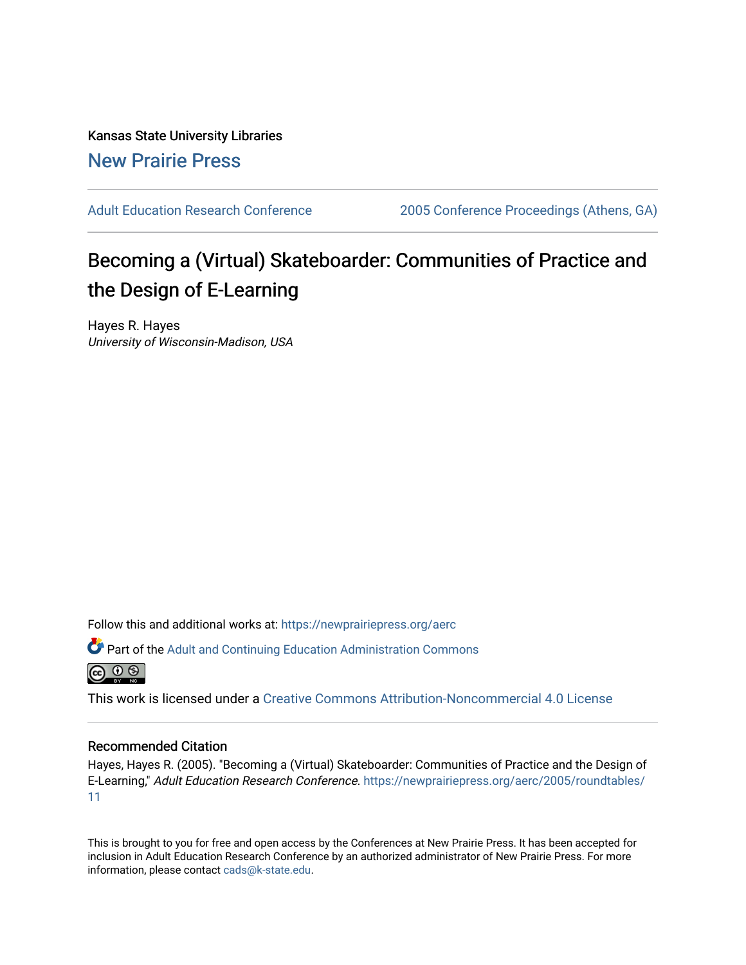Kansas State University Libraries [New Prairie Press](https://newprairiepress.org/) 

[Adult Education Research Conference](https://newprairiepress.org/aerc) [2005 Conference Proceedings \(Athens, GA\)](https://newprairiepress.org/aerc/2005) 

# Becoming a (Virtual) Skateboarder: Communities of Practice and the Design of E-Learning

Hayes R. Hayes University of Wisconsin-Madison, USA

Follow this and additional works at: [https://newprairiepress.org/aerc](https://newprairiepress.org/aerc?utm_source=newprairiepress.org%2Faerc%2F2005%2Froundtables%2F11&utm_medium=PDF&utm_campaign=PDFCoverPages)

Part of the [Adult and Continuing Education Administration Commons](http://network.bepress.com/hgg/discipline/789?utm_source=newprairiepress.org%2Faerc%2F2005%2Froundtables%2F11&utm_medium=PDF&utm_campaign=PDFCoverPages)



This work is licensed under a [Creative Commons Attribution-Noncommercial 4.0 License](https://creativecommons.org/licenses/by-nc/4.0/)

#### Recommended Citation

Hayes, Hayes R. (2005). "Becoming a (Virtual) Skateboarder: Communities of Practice and the Design of E-Learning," Adult Education Research Conference. [https://newprairiepress.org/aerc/2005/roundtables/](https://newprairiepress.org/aerc/2005/roundtables/11) [11](https://newprairiepress.org/aerc/2005/roundtables/11)

This is brought to you for free and open access by the Conferences at New Prairie Press. It has been accepted for inclusion in Adult Education Research Conference by an authorized administrator of New Prairie Press. For more information, please contact [cads@k-state.edu](mailto:cads@k-state.edu).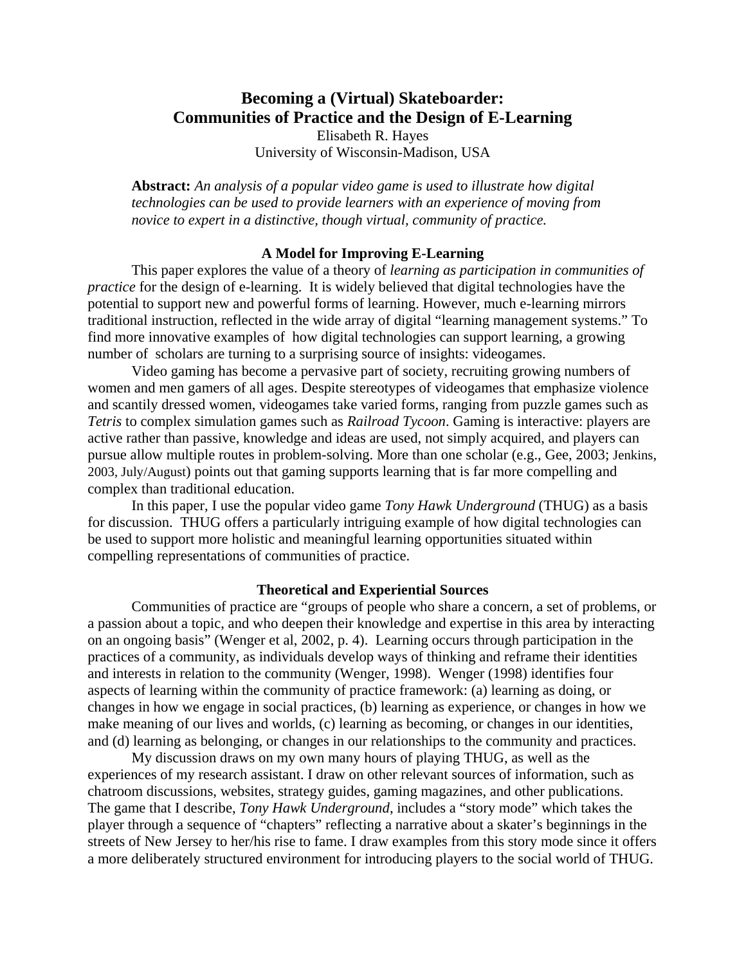# **Becoming a (Virtual) Skateboarder: Communities of Practice and the Design of E-Learning**  Elisabeth R. Hayes University of Wisconsin-Madison, USA

**Abstract:** *An analysis of a popular video game is used to illustrate how digital technologies can be used to provide learners with an experience of moving from novice to expert in a distinctive, though virtual, community of practice.* 

#### **A Model for Improving E-Learning**

This paper explores the value of a theory of *learning as participation in communities of practice* for the design of e-learning. It is widely believed that digital technologies have the potential to support new and powerful forms of learning. However, much e-learning mirrors traditional instruction, reflected in the wide array of digital "learning management systems." To find more innovative examples of how digital technologies can support learning, a growing number of scholars are turning to a surprising source of insights: videogames.

Video gaming has become a pervasive part of society, recruiting growing numbers of women and men gamers of all ages. Despite stereotypes of videogames that emphasize violence and scantily dressed women, videogames take varied forms, ranging from puzzle games such as *Tetris* to complex simulation games such as *Railroad Tycoon*. Gaming is interactive: players are active rather than passive, knowledge and ideas are used, not simply acquired, and players can pursue allow multiple routes in problem-solving. More than one scholar (e.g., Gee, 2003; Jenkins, 2003, July/August) points out that gaming supports learning that is far more compelling and complex than traditional education.

In this paper, I use the popular video game *Tony Hawk Underground* (THUG) as a basis for discussion. THUG offers a particularly intriguing example of how digital technologies can be used to support more holistic and meaningful learning opportunities situated within compelling representations of communities of practice.

### **Theoretical and Experiential Sources**

Communities of practice are "groups of people who share a concern, a set of problems, or a passion about a topic, and who deepen their knowledge and expertise in this area by interacting on an ongoing basis" (Wenger et al, 2002, p. 4). Learning occurs through participation in the practices of a community, as individuals develop ways of thinking and reframe their identities and interests in relation to the community (Wenger, 1998). Wenger (1998) identifies four aspects of learning within the community of practice framework: (a) learning as doing, or changes in how we engage in social practices, (b) learning as experience, or changes in how we make meaning of our lives and worlds, (c) learning as becoming, or changes in our identities, and (d) learning as belonging, or changes in our relationships to the community and practices.

My discussion draws on my own many hours of playing THUG, as well as the experiences of my research assistant. I draw on other relevant sources of information, such as chatroom discussions, websites, strategy guides, gaming magazines, and other publications. The game that I describe, *Tony Hawk Underground*, includes a "story mode" which takes the player through a sequence of "chapters" reflecting a narrative about a skater's beginnings in the streets of New Jersey to her/his rise to fame. I draw examples from this story mode since it offers a more deliberately structured environment for introducing players to the social world of THUG.